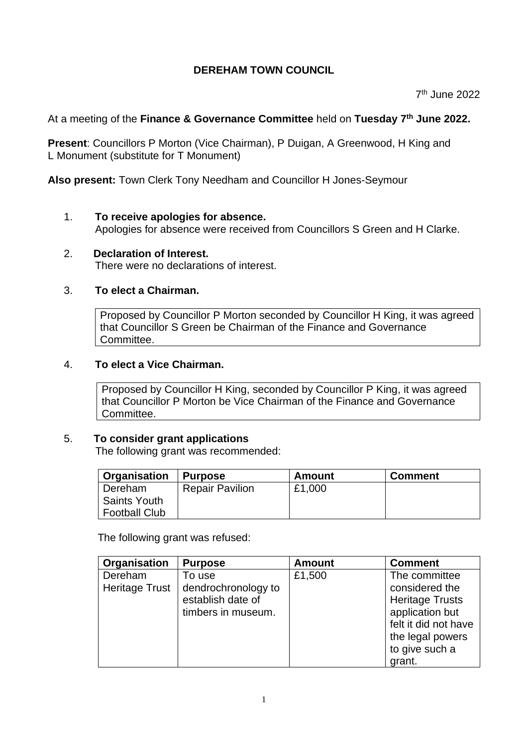# **DEREHAM TOWN COUNCIL**

7 th June 2022

## At a meeting of the **Finance & Governance Committee** held on **Tuesday 7 th June 2022.**

**Present**: Councillors P Morton (Vice Chairman), P Duigan, A Greenwood, H King and L Monument (substitute for T Monument)

**Also present:** Town Clerk Tony Needham and Councillor H Jones-Seymour

#### 1. **To receive apologies for absence.**

Apologies for absence were received from Councillors S Green and H Clarke.

2. **Declaration of Interest.**  There were no declarations of interest.

#### 3. **To elect a Chairman.**

Proposed by Councillor P Morton seconded by Councillor H King, it was agreed that Councillor S Green be Chairman of the Finance and Governance Committee.

#### 4. **To elect a Vice Chairman.**

Proposed by Councillor H King, seconded by Councillor P King, it was agreed that Councillor P Morton be Vice Chairman of the Finance and Governance Committee.

#### 5. **To consider grant applications**

The following grant was recommended:

| <b>Organisation</b>  | <b>Purpose</b>         | Amount | <b>Comment</b> |
|----------------------|------------------------|--------|----------------|
| Dereham              | <b>Repair Pavilion</b> | £1,000 |                |
| <b>Saints Youth</b>  |                        |        |                |
| <b>Football Club</b> |                        |        |                |

The following grant was refused:

| Organisation                     | <b>Purpose</b>                                                           | <b>Amount</b> | <b>Comment</b>                                                               |
|----------------------------------|--------------------------------------------------------------------------|---------------|------------------------------------------------------------------------------|
| Dereham<br><b>Heritage Trust</b> | To use<br>dendrochronology to<br>establish date of<br>timbers in museum. | £1,500        | The committee<br>considered the<br><b>Heritage Trusts</b><br>application but |
|                                  |                                                                          |               | felt it did not have<br>the legal powers<br>to give such a<br>grant.         |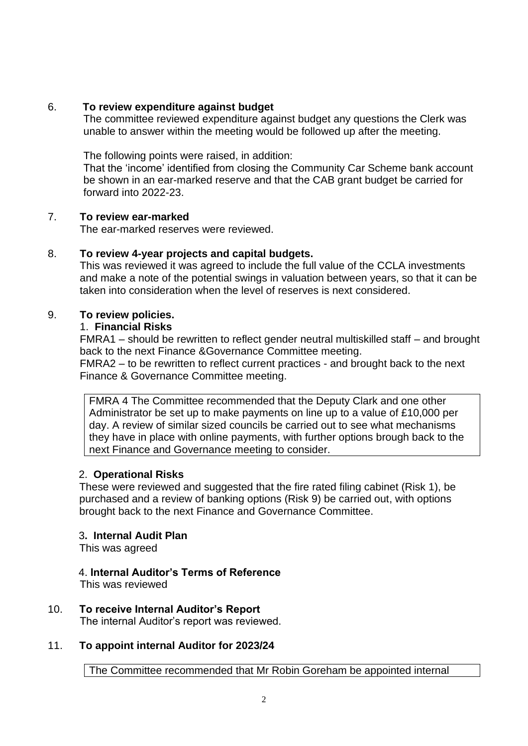## 6. **To review expenditure against budget**

 The committee reviewed expenditure against budget any questions the Clerk was unable to answer within the meeting would be followed up after the meeting.

The following points were raised, in addition:

 That the 'income' identified from closing the Community Car Scheme bank account be shown in an ear-marked reserve and that the CAB grant budget be carried for forward into 2022-23.

### 7. **To review ear-marked**

The ear-marked reserves were reviewed.

### 8. **To review 4-year projects and capital budgets.**

This was reviewed it was agreed to include the full value of the CCLA investments and make a note of the potential swings in valuation between years, so that it can be taken into consideration when the level of reserves is next considered.

### 9. **To review policies.**

### 1. **Financial Risks**

FMRA1 – should be rewritten to reflect gender neutral multiskilled staff – and brought back to the next Finance &Governance Committee meeting.

FMRA2 – to be rewritten to reflect current practices - and brought back to the next Finance & Governance Committee meeting.

FMRA 4 The Committee recommended that the Deputy Clark and one other Administrator be set up to make payments on line up to a value of £10,000 per day. A review of similar sized councils be carried out to see what mechanisms they have in place with online payments, with further options brough back to the next Finance and Governance meeting to consider.

# 2. **Operational Risks**

These were reviewed and suggested that the fire rated filing cabinet (Risk 1), be purchased and a review of banking options (Risk 9) be carried out, with options brought back to the next Finance and Governance Committee.

### 3**. Internal Audit Plan**

This was agreed

# 4. **Internal Auditor's Terms of Reference**

This was reviewed

10. **To receive Internal Auditor's Report**

The internal Auditor's report was reviewed.

# 11. **To appoint internal Auditor for 2023/24**

The Committee recommended that Mr Robin Goreham be appointed internal